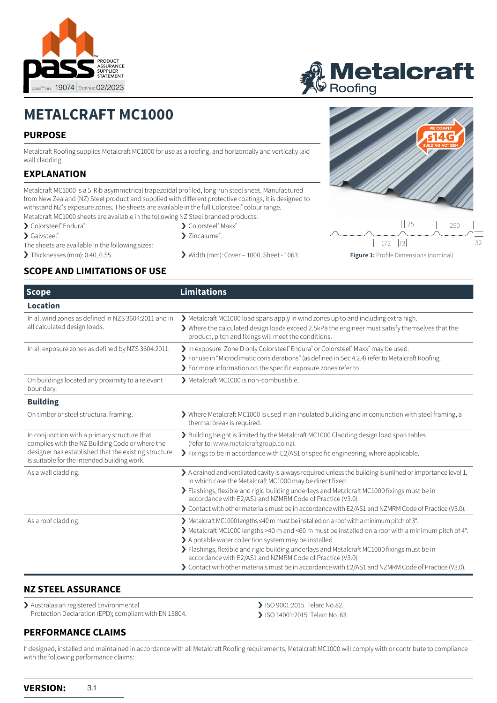



# **METALCRAFT MC1000**

### **PURPOSE**

Metalcraft Roofing supplies Metalcraft MC1000 for use as a roofing, and horizontally and vertically laid wall cladding.

#### **EXPLANATION**

Metalcraft MC1000 is a 5-Rib asymmetrical trapezoidal profiled, long-run steel sheet. Manufactured from New Zealand (NZ) Steel product and supplied with different protective coatings, it is designed to withstand NZ's exposure zones. The sheets are available in the full Colorsteel® colour range. Metalcraft MC1000 sheets are available in the following NZ Steel branded products:

- › Colorsteel® Endura®
- > Galvsteel®
- The sheets are available in the following sizes:
- 
- > Colorsteel® Maxx®
- > Zincalume<sup>®</sup>.
- > Thicknesses (mm): 0.40, 0.55 > Width (mm): Cover 1000, Sheet 1063

32  $\begin{array}{ccc} \n 25 & 1 & 250 \n \end{array}$ 172 73

#### **Figure 1:** Profile Dimensions (nominal)

# **SCOPE AND LIMITATIONS OF USE**

| <b>Scope</b>                                                                                                                                                                                           | <b>Limitations</b>                                                                                                                                                                                                                                                                                                                                                                                                                                                                                                                               |  |
|--------------------------------------------------------------------------------------------------------------------------------------------------------------------------------------------------------|--------------------------------------------------------------------------------------------------------------------------------------------------------------------------------------------------------------------------------------------------------------------------------------------------------------------------------------------------------------------------------------------------------------------------------------------------------------------------------------------------------------------------------------------------|--|
| <b>Location</b>                                                                                                                                                                                        |                                                                                                                                                                                                                                                                                                                                                                                                                                                                                                                                                  |  |
| In all wind zones as defined in NZS 3604:2011 and in<br>all calculated design loads.                                                                                                                   | Metalcraft MC1000 load spans apply in wind zones up to and including extra high.<br>$\blacktriangleright$ Where the calculated design loads exceed 2.5kPa the engineer must satisfy themselves that the<br>product, pitch and fixings will meet the conditions.                                                                                                                                                                                                                                                                                  |  |
| In all exposure zones as defined by NZS 3604:2011.                                                                                                                                                     | > In exposure Zone D only Colorsteel® Endura® or Colorsteel® Maxx® may be used.<br>> For use in "Microclimatic considerations" (as defined in Sec 4.2.4) refer to Metalcraft Roofing.<br>> For more information on the specific exposure zones refer to                                                                                                                                                                                                                                                                                          |  |
| On buildings located any proximity to a relevant<br>boundary.                                                                                                                                          | > Metalcraft MC1000 is non-combustible.                                                                                                                                                                                                                                                                                                                                                                                                                                                                                                          |  |
| <b>Building</b>                                                                                                                                                                                        |                                                                                                                                                                                                                                                                                                                                                                                                                                                                                                                                                  |  |
| On timber or steel structural framing.                                                                                                                                                                 | > Where Metalcraft MC1000 is used in an insulated building and in conjunction with steel framing, a<br>thermal break is required.                                                                                                                                                                                                                                                                                                                                                                                                                |  |
| In conjunction with a primary structure that<br>complies with the NZ Building Code or where the<br>designer has established that the existing structure<br>is suitable for the intended building work. | > Building height is limited by the Metalcraft MC1000 Cladding design load span tables<br>(refer to: www.metalcraftgroup.co.nz).<br>> Fixings to be in accordance with E2/AS1 or specific engineering, where applicable.                                                                                                                                                                                                                                                                                                                         |  |
| As a wall cladding.                                                                                                                                                                                    | > A drained and ventilated cavity is always required unless the building is unlined or importance level 1,<br>in which case the Metalcraft MC1000 may be direct fixed.<br>> Flashings, flexible and rigid building underlays and Metalcraft MC1000 fixings must be in<br>accordance with E2/AS1 and NZMRM Code of Practice (V3.0).<br>> Contact with other materials must be in accordance with E2/AS1 and NZMRM Code of Practice (V3.0).                                                                                                        |  |
| As a roof cladding.                                                                                                                                                                                    | > Metalcraft MC1000 lengths ≤40 m must be installed on a roof with a minimum pitch of 3°.<br>$\blacktriangleright$ Metalcraft MC1000 lengths >40 m and <60 m must be installed on a roof with a minimum pitch of 4°.<br>> A potable water collection system may be installed.<br>> Flashings, flexible and rigid building underlays and Metalcraft MC1000 fixings must be in<br>accordance with E2/AS1 and NZMRM Code of Practice (V3.0).<br>> Contact with other materials must be in accordance with E2/AS1 and NZMRM Code of Practice (V3.0). |  |

# **NZ STEEL ASSURANCE**

> Australasian registered Environmental Protection Declaration (EPD); compliant with EN 15804.

- > ISO 9001:2015. Telarc No.82.
- > ISO 14001:2015. Telarc No. 63.

# **PERFORMANCE CLAIMS**

If designed, installed and maintained in accordance with all Metalcraft Roofing requirements, Metalcraft MC1000 will comply with or contribute to compliance with the following performance claims: